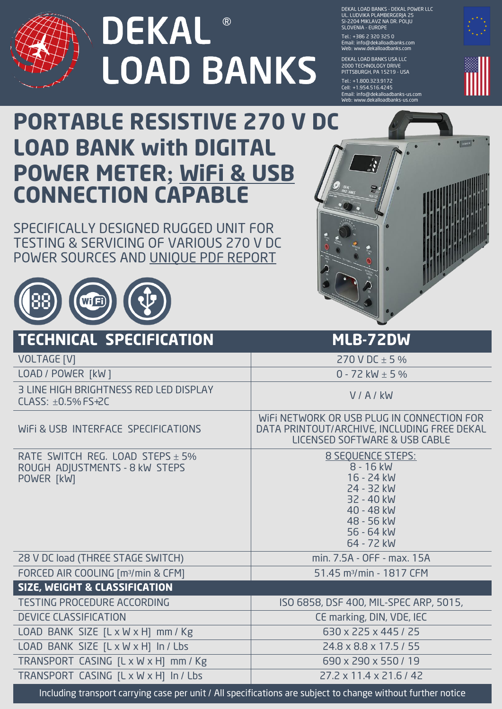

**DEKAL** ® **LOAD BANKS**  DEKAL LOAD BANKS - DEKAL POWER LLC UL. LUDVIKA PLAMBERGERJA 25 SI-2204 MIKLAVZ NA DR. POLJU SLOVENIA - EUROPE

Tel.: + 386 2 320 325 0 Email: info@dekalloadbanks.com Web: www.dekalloadbanks.com

DEKAL LOAD BANKS USA LLC 2000 TECHNOLOGY DRIVE PITTSBURGH, PA 15219 - USA

Tel.: +1.800.323.9172 Cell: + 1.954.516.4245 Email: info@dekalloadbanks-us.com Web: www.dekalloadbanks-us.com



## **PORTABLE RESISTIVE 270 V DC LOAD BANK with DIGITAL POWER METER; WiFi & USB CONNECTION CAPABLE**

SPECIFICALLY DESIGNED RUGGED UNIT FOR TESTING & SERVICING OF VARIOUS 270 V DC POWER SOURCES AND UNIQUE PDF REPORT





| <b>TECHNICAL SPECIFICATION</b>                                                                               | MLB-72DW                                                                                                                         |
|--------------------------------------------------------------------------------------------------------------|----------------------------------------------------------------------------------------------------------------------------------|
| <b>VOLTAGE [V]</b>                                                                                           | 270 V DC $\pm$ 5 %                                                                                                               |
| LOAD / POWER [kW]                                                                                            | 0 - 72 kW $\pm$ 5 %                                                                                                              |
| 3 LINE HIGH BRIGHTNESS RED LED DISPLAY<br>CLASS: $\pm$ 0.5% FS+2C                                            | V/A/kW                                                                                                                           |
| WIFI & USB INTERFACE SPECIFICATIONS                                                                          | WIFI NETWORK OR USB PLUG IN CONNECTION FOR<br>DATA PRINTOUT/ARCHIVE, INCLUDING FREE DEKAL<br>LICENSED SOFTWARE & USB CABLE       |
| RATE SWITCH REG. LOAD STEPS $\pm$ 5%<br>ROUGH ADJUSTMENTS - 8 kW STEPS<br>POWER [kW]                         | 8 SEQUENCE STEPS:<br>8 - 16 kW<br>16 - 24 kW<br>24 - 32 kW<br>32 - 40 kW<br>40 - 48 kW<br>48 - 56 kW<br>56 - 64 kW<br>64 - 72 kW |
| 28 V DC load (THREE STAGE SWITCH)                                                                            | min. 7.5A - OFF - max. 15A                                                                                                       |
| FORCED AIR COOLING [m <sup>3</sup> /min & CFM]                                                               | 51.45 m <sup>3</sup> /min - 1817 CFM                                                                                             |
| <b>SIZE, WEIGHT &amp; CLASSIFICATION</b>                                                                     |                                                                                                                                  |
| <b>TESTING PROCEDURE ACCORDING</b>                                                                           | ISO 6858, DSF 400, MIL-SPEC ARP, 5015,                                                                                           |
| <b>DEVICE CLASSIFICATION</b>                                                                                 | CE marking, DIN, VDE, IEC                                                                                                        |
| LOAD BANK SIZE [L x W x H] mm / Kg                                                                           | 630 x 225 x 445 / 25                                                                                                             |
| LOAD BANK SIZE [L x W x H] In / Lbs                                                                          | 24.8 x 8.8 x 17.5 / 55                                                                                                           |
| TRANSPORT CASING [L x W x H] mm / Kg                                                                         | 690 x 290 x 550 / 19                                                                                                             |
| TRANSPORT CASING [L x W x H] In / Lbs                                                                        | $27.2 \times 11.4 \times 21.6 / 42$                                                                                              |
| Including transport carrying case per unit / All specifications are subject to change without further notice |                                                                                                                                  |